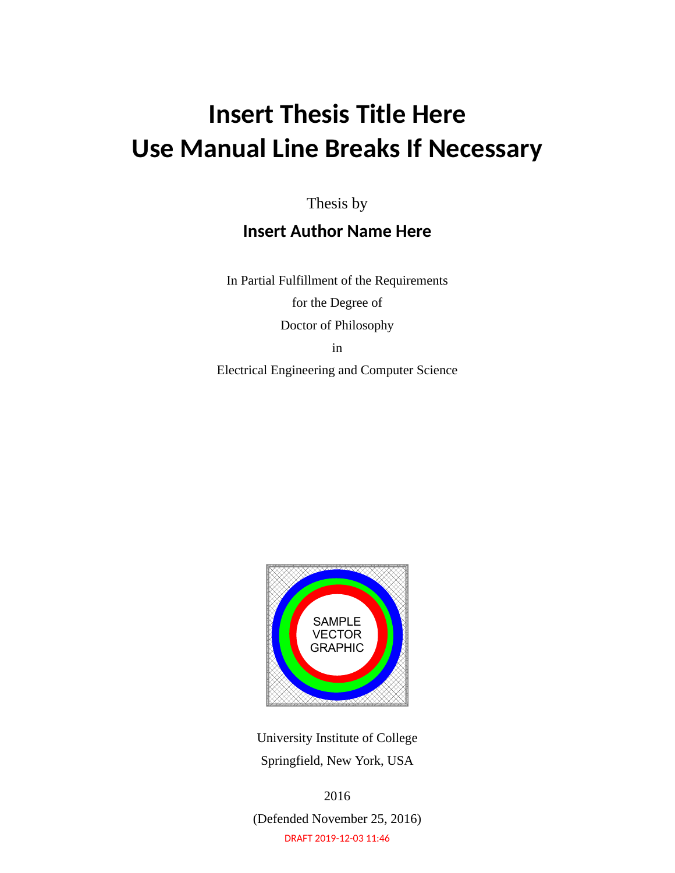# **Insert Thesis Title Here Use Manual Line Breaks If Necessary**

Thesis by

## **Insert Author Name Here**

In Partial Fulfillment of the Requirements for the Degree of Doctor of Philosophy

in

Electrical Engineering and Computer Science



University Institute of College Springfield, New York, USA

2016

(Defended November 25, 2016) DRAFT 2019-12-03 11:46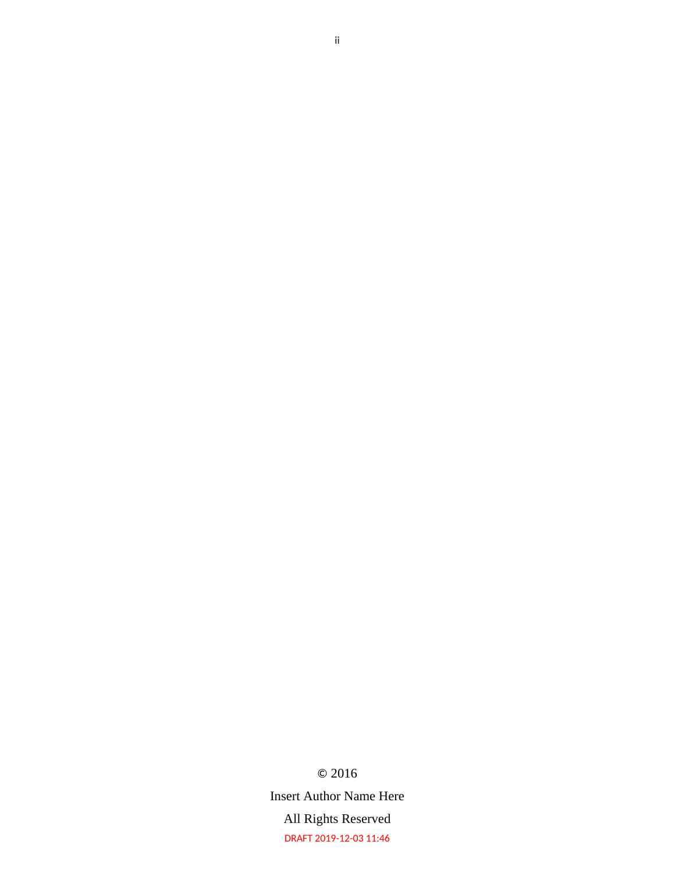© 2016 Insert Author Name Here All Rights Reserved DRAFT 2019-12-03 11:46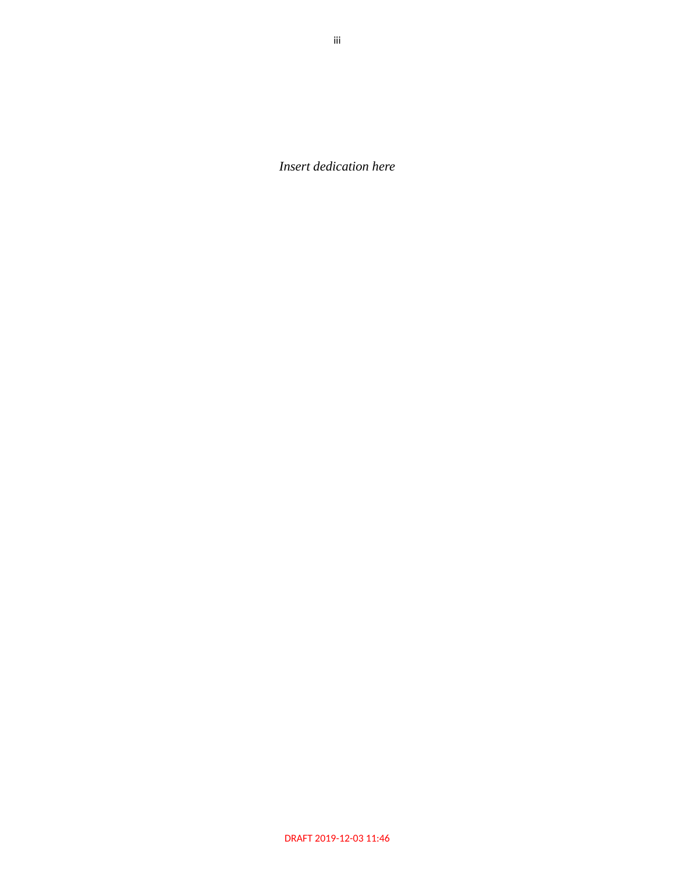*Insert dedication here*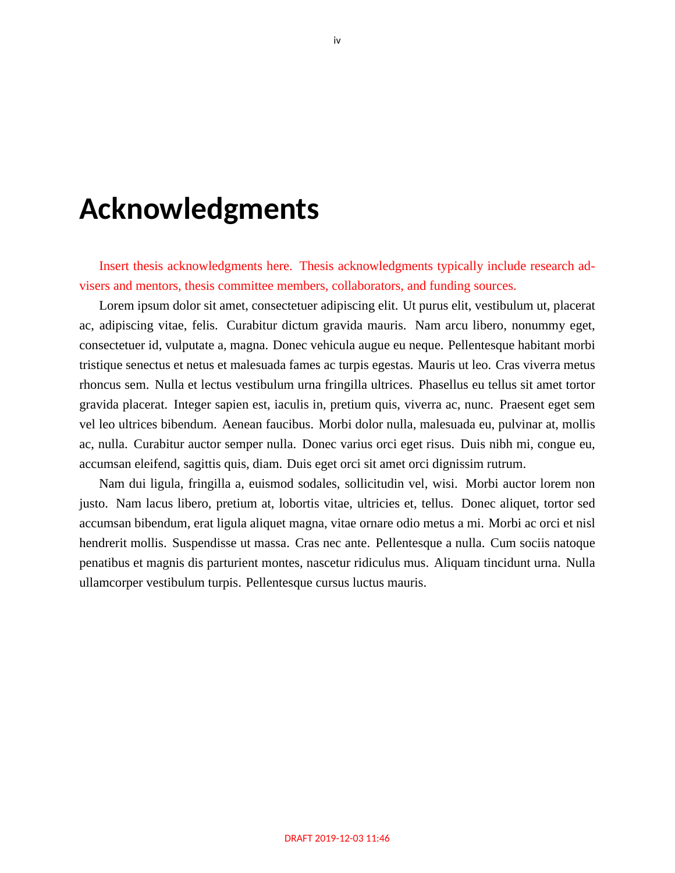## <span id="page-3-0"></span>**Acknowledgments**

Insert thesis acknowledgments here. Thesis acknowledgments typically include research advisers and mentors, thesis committee members, collaborators, and funding sources.

Lorem ipsum dolor sit amet, consectetuer adipiscing elit. Ut purus elit, vestibulum ut, placerat ac, adipiscing vitae, felis. Curabitur dictum gravida mauris. Nam arcu libero, nonummy eget, consectetuer id, vulputate a, magna. Donec vehicula augue eu neque. Pellentesque habitant morbi tristique senectus et netus et malesuada fames ac turpis egestas. Mauris ut leo. Cras viverra metus rhoncus sem. Nulla et lectus vestibulum urna fringilla ultrices. Phasellus eu tellus sit amet tortor gravida placerat. Integer sapien est, iaculis in, pretium quis, viverra ac, nunc. Praesent eget sem vel leo ultrices bibendum. Aenean faucibus. Morbi dolor nulla, malesuada eu, pulvinar at, mollis ac, nulla. Curabitur auctor semper nulla. Donec varius orci eget risus. Duis nibh mi, congue eu, accumsan eleifend, sagittis quis, diam. Duis eget orci sit amet orci dignissim rutrum.

Nam dui ligula, fringilla a, euismod sodales, sollicitudin vel, wisi. Morbi auctor lorem non justo. Nam lacus libero, pretium at, lobortis vitae, ultricies et, tellus. Donec aliquet, tortor sed accumsan bibendum, erat ligula aliquet magna, vitae ornare odio metus a mi. Morbi ac orci et nisl hendrerit mollis. Suspendisse ut massa. Cras nec ante. Pellentesque a nulla. Cum sociis natoque penatibus et magnis dis parturient montes, nascetur ridiculus mus. Aliquam tincidunt urna. Nulla ullamcorper vestibulum turpis. Pellentesque cursus luctus mauris.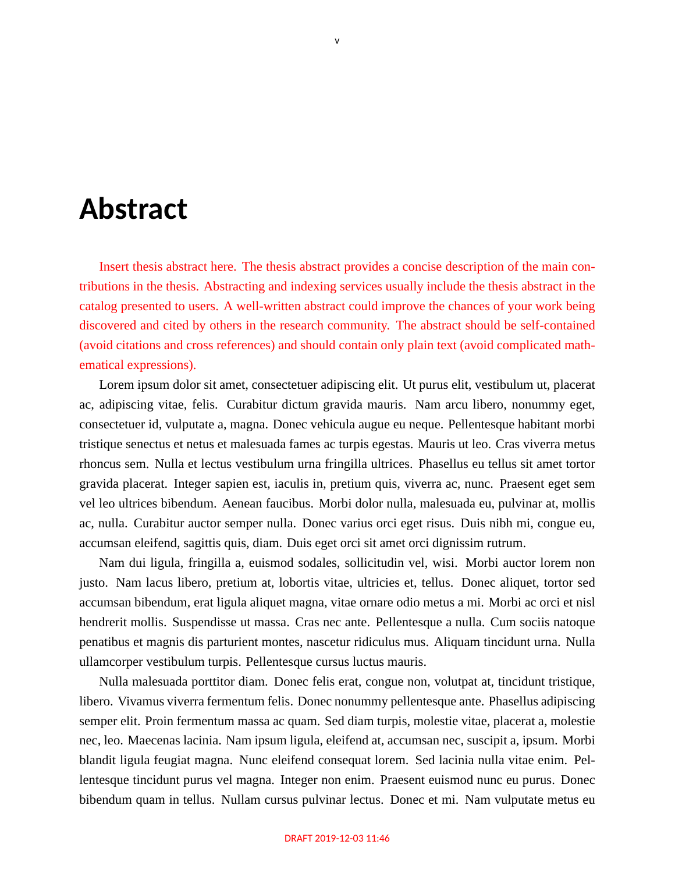## <span id="page-4-0"></span>**Abstract**

Insert thesis abstract here. The thesis abstract provides a concise description of the main contributions in the thesis. Abstracting and indexing services usually include the thesis abstract in the catalog presented to users. A well-written abstract could improve the chances of your work being discovered and cited by others in the research community. The abstract should be self-contained (avoid citations and cross references) and should contain only plain text (avoid complicated mathematical expressions).

Lorem ipsum dolor sit amet, consectetuer adipiscing elit. Ut purus elit, vestibulum ut, placerat ac, adipiscing vitae, felis. Curabitur dictum gravida mauris. Nam arcu libero, nonummy eget, consectetuer id, vulputate a, magna. Donec vehicula augue eu neque. Pellentesque habitant morbi tristique senectus et netus et malesuada fames ac turpis egestas. Mauris ut leo. Cras viverra metus rhoncus sem. Nulla et lectus vestibulum urna fringilla ultrices. Phasellus eu tellus sit amet tortor gravida placerat. Integer sapien est, iaculis in, pretium quis, viverra ac, nunc. Praesent eget sem vel leo ultrices bibendum. Aenean faucibus. Morbi dolor nulla, malesuada eu, pulvinar at, mollis ac, nulla. Curabitur auctor semper nulla. Donec varius orci eget risus. Duis nibh mi, congue eu, accumsan eleifend, sagittis quis, diam. Duis eget orci sit amet orci dignissim rutrum.

Nam dui ligula, fringilla a, euismod sodales, sollicitudin vel, wisi. Morbi auctor lorem non justo. Nam lacus libero, pretium at, lobortis vitae, ultricies et, tellus. Donec aliquet, tortor sed accumsan bibendum, erat ligula aliquet magna, vitae ornare odio metus a mi. Morbi ac orci et nisl hendrerit mollis. Suspendisse ut massa. Cras nec ante. Pellentesque a nulla. Cum sociis natoque penatibus et magnis dis parturient montes, nascetur ridiculus mus. Aliquam tincidunt urna. Nulla ullamcorper vestibulum turpis. Pellentesque cursus luctus mauris.

Nulla malesuada porttitor diam. Donec felis erat, congue non, volutpat at, tincidunt tristique, libero. Vivamus viverra fermentum felis. Donec nonummy pellentesque ante. Phasellus adipiscing semper elit. Proin fermentum massa ac quam. Sed diam turpis, molestie vitae, placerat a, molestie nec, leo. Maecenas lacinia. Nam ipsum ligula, eleifend at, accumsan nec, suscipit a, ipsum. Morbi blandit ligula feugiat magna. Nunc eleifend consequat lorem. Sed lacinia nulla vitae enim. Pellentesque tincidunt purus vel magna. Integer non enim. Praesent euismod nunc eu purus. Donec bibendum quam in tellus. Nullam cursus pulvinar lectus. Donec et mi. Nam vulputate metus eu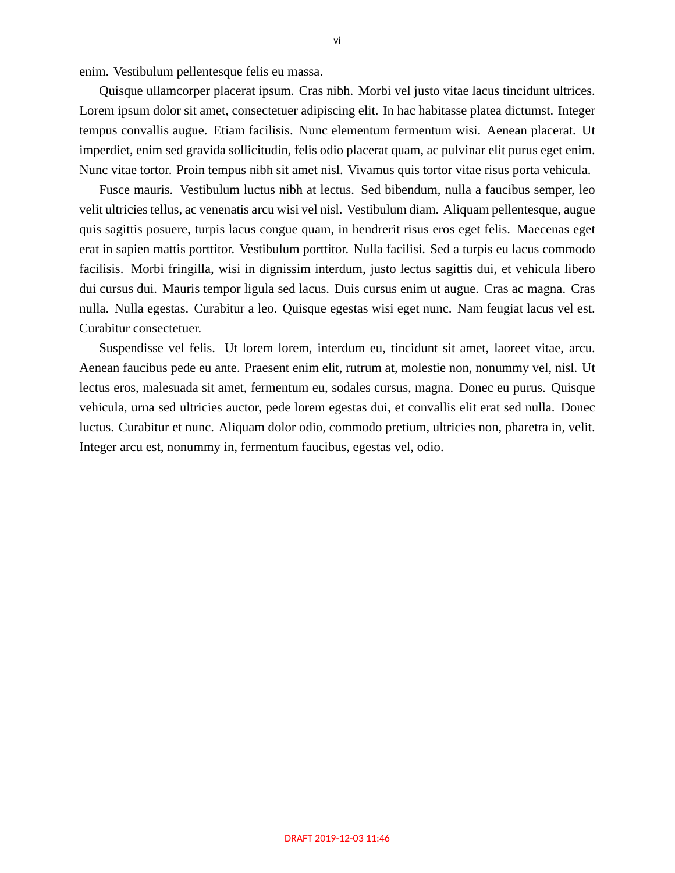enim. Vestibulum pellentesque felis eu massa.

Quisque ullamcorper placerat ipsum. Cras nibh. Morbi vel justo vitae lacus tincidunt ultrices. Lorem ipsum dolor sit amet, consectetuer adipiscing elit. In hac habitasse platea dictumst. Integer tempus convallis augue. Etiam facilisis. Nunc elementum fermentum wisi. Aenean placerat. Ut imperdiet, enim sed gravida sollicitudin, felis odio placerat quam, ac pulvinar elit purus eget enim. Nunc vitae tortor. Proin tempus nibh sit amet nisl. Vivamus quis tortor vitae risus porta vehicula.

Fusce mauris. Vestibulum luctus nibh at lectus. Sed bibendum, nulla a faucibus semper, leo velit ultricies tellus, ac venenatis arcu wisi vel nisl. Vestibulum diam. Aliquam pellentesque, augue quis sagittis posuere, turpis lacus congue quam, in hendrerit risus eros eget felis. Maecenas eget erat in sapien mattis porttitor. Vestibulum porttitor. Nulla facilisi. Sed a turpis eu lacus commodo facilisis. Morbi fringilla, wisi in dignissim interdum, justo lectus sagittis dui, et vehicula libero dui cursus dui. Mauris tempor ligula sed lacus. Duis cursus enim ut augue. Cras ac magna. Cras nulla. Nulla egestas. Curabitur a leo. Quisque egestas wisi eget nunc. Nam feugiat lacus vel est. Curabitur consectetuer.

Suspendisse vel felis. Ut lorem lorem, interdum eu, tincidunt sit amet, laoreet vitae, arcu. Aenean faucibus pede eu ante. Praesent enim elit, rutrum at, molestie non, nonummy vel, nisl. Ut lectus eros, malesuada sit amet, fermentum eu, sodales cursus, magna. Donec eu purus. Quisque vehicula, urna sed ultricies auctor, pede lorem egestas dui, et convallis elit erat sed nulla. Donec luctus. Curabitur et nunc. Aliquam dolor odio, commodo pretium, ultricies non, pharetra in, velit. Integer arcu est, nonummy in, fermentum faucibus, egestas vel, odio.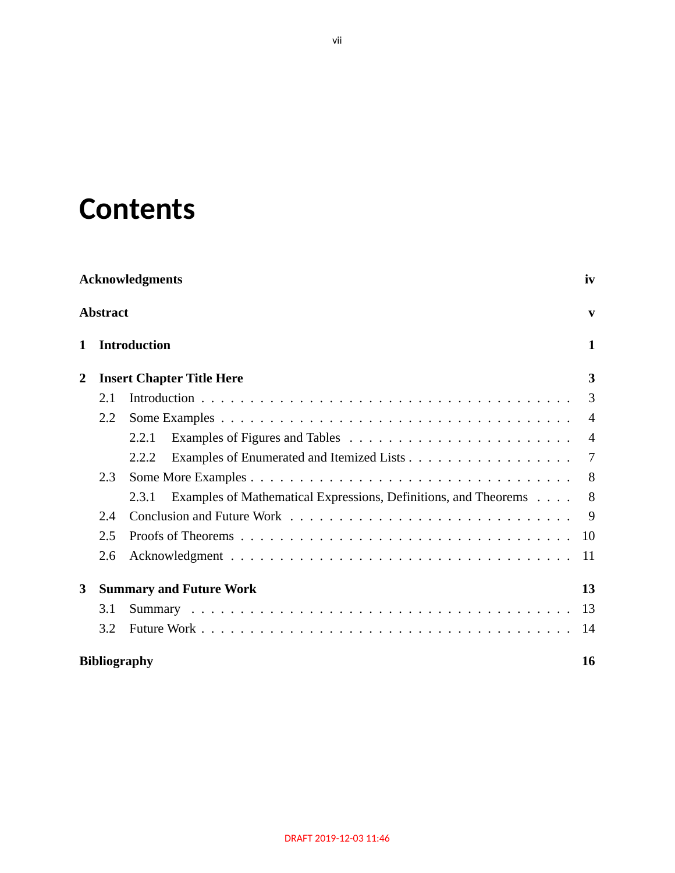# **Contents**

| <b>Acknowledgments</b><br><b>Abstract</b> |                                |                                                                          |                |  |  |  |
|-------------------------------------------|--------------------------------|--------------------------------------------------------------------------|----------------|--|--|--|
|                                           |                                |                                                                          |                |  |  |  |
| $\overline{2}$                            |                                | <b>Insert Chapter Title Here</b>                                         | 3              |  |  |  |
|                                           | 2.1                            |                                                                          | 3              |  |  |  |
|                                           | 2.2                            |                                                                          | $\overline{4}$ |  |  |  |
|                                           |                                | 2.2.1                                                                    | $\overline{4}$ |  |  |  |
|                                           |                                | 2.2.2                                                                    | 7              |  |  |  |
|                                           | 2.3                            |                                                                          | 8              |  |  |  |
|                                           |                                | Examples of Mathematical Expressions, Definitions, and Theorems<br>2.3.1 | 8              |  |  |  |
|                                           | 2.4                            |                                                                          | 9              |  |  |  |
|                                           | 2.5                            |                                                                          | 10             |  |  |  |
|                                           | 2.6                            |                                                                          | 11             |  |  |  |
| 3                                         | <b>Summary and Future Work</b> |                                                                          | 13             |  |  |  |
|                                           | 3.1                            |                                                                          | 13             |  |  |  |
|                                           | 3.2                            |                                                                          | 14             |  |  |  |
|                                           |                                | <b>Bibliography</b>                                                      | 16             |  |  |  |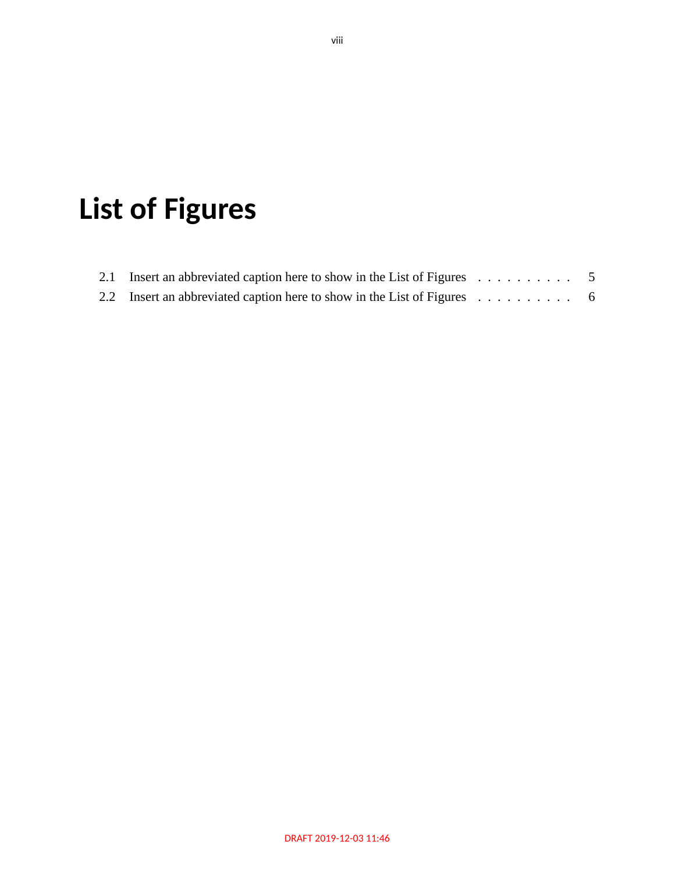# **List of Figures**

| 2.1 Insert an abbreviated caption here to show in the List of Figures 5 |  |
|-------------------------------------------------------------------------|--|
| 2.2 Insert an abbreviated caption here to show in the List of Figures 6 |  |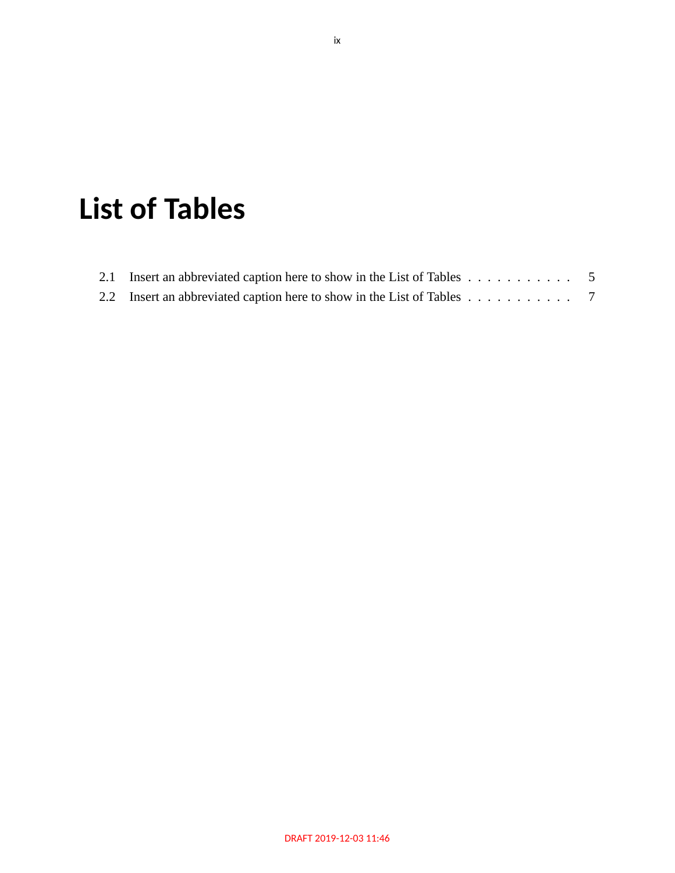# **List of Tables**

| 2.1 Insert an abbreviated caption here to show in the List of Tables 5 |  |
|------------------------------------------------------------------------|--|
| 2.2 Insert an abbreviated caption here to show in the List of Tables 7 |  |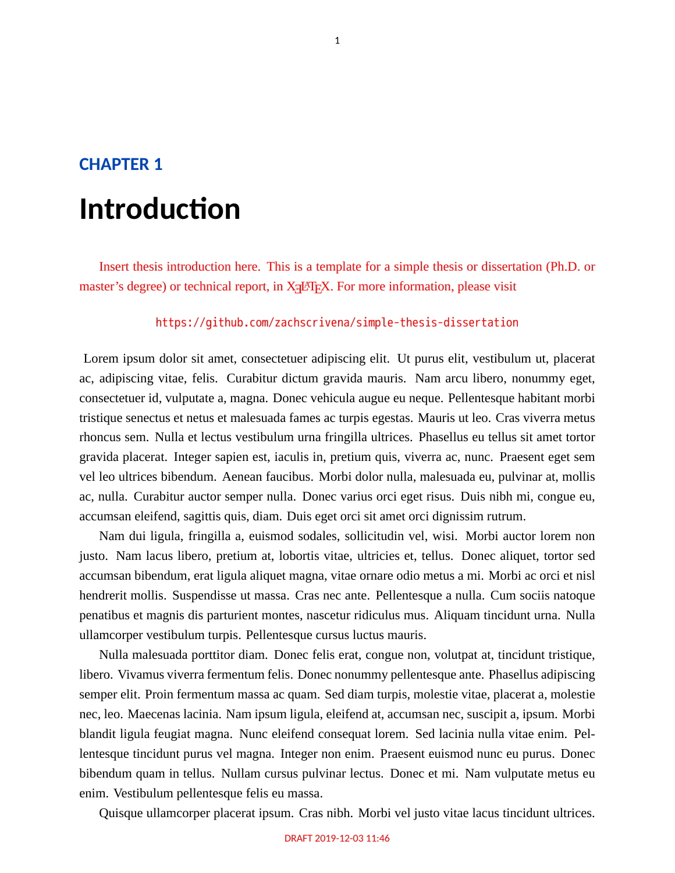# <span id="page-9-0"></span>**CHAPTER 1 Introduction**

Insert thesis introduction here. This is a template for a simple thesis or dissertation (Ph.D. or master's degree) or technical report, in X $\sharp$ I<sub>F</sub>X. For more information, please visit

#### https://github.com/zachscrivena/simple-thesis-dissertation

Lorem ipsum dolor sit amet, consectetuer adipiscing elit. Ut purus elit, vestibulum ut, placerat ac, adipiscing vitae, felis. Curabitur dictum gravida mauris. Nam arcu libero, nonummy eget, consectetuer id, vulputate a, magna. Donec vehicula augue eu neque. Pellentesque habitant morbi tristique senectus et netus et malesuada fames ac turpis egestas. Mauris ut leo. Cras viverra metus rhoncus sem. Nulla et lectus vestibulum urna fringilla ultrices. Phasellus eu tellus sit amet tortor gravida placerat. Integer sapien est, iaculis in, pretium quis, viverra ac, nunc. Praesent eget sem vel leo ultrices bibendum. Aenean faucibus. Morbi dolor nulla, malesuada eu, pulvinar at, mollis ac, nulla. Curabitur auctor semper nulla. Donec varius orci eget risus. Duis nibh mi, congue eu, accumsan eleifend, sagittis quis, diam. Duis eget orci sit amet orci dignissim rutrum.

Nam dui ligula, fringilla a, euismod sodales, sollicitudin vel, wisi. Morbi auctor lorem non justo. Nam lacus libero, pretium at, lobortis vitae, ultricies et, tellus. Donec aliquet, tortor sed accumsan bibendum, erat ligula aliquet magna, vitae ornare odio metus a mi. Morbi ac orci et nisl hendrerit mollis. Suspendisse ut massa. Cras nec ante. Pellentesque a nulla. Cum sociis natoque penatibus et magnis dis parturient montes, nascetur ridiculus mus. Aliquam tincidunt urna. Nulla ullamcorper vestibulum turpis. Pellentesque cursus luctus mauris.

Nulla malesuada porttitor diam. Donec felis erat, congue non, volutpat at, tincidunt tristique, libero. Vivamus viverra fermentum felis. Donec nonummy pellentesque ante. Phasellus adipiscing semper elit. Proin fermentum massa ac quam. Sed diam turpis, molestie vitae, placerat a, molestie nec, leo. Maecenas lacinia. Nam ipsum ligula, eleifend at, accumsan nec, suscipit a, ipsum. Morbi blandit ligula feugiat magna. Nunc eleifend consequat lorem. Sed lacinia nulla vitae enim. Pellentesque tincidunt purus vel magna. Integer non enim. Praesent euismod nunc eu purus. Donec bibendum quam in tellus. Nullam cursus pulvinar lectus. Donec et mi. Nam vulputate metus eu enim. Vestibulum pellentesque felis eu massa.

Quisque ullamcorper placerat ipsum. Cras nibh. Morbi vel justo vitae lacus tincidunt ultrices.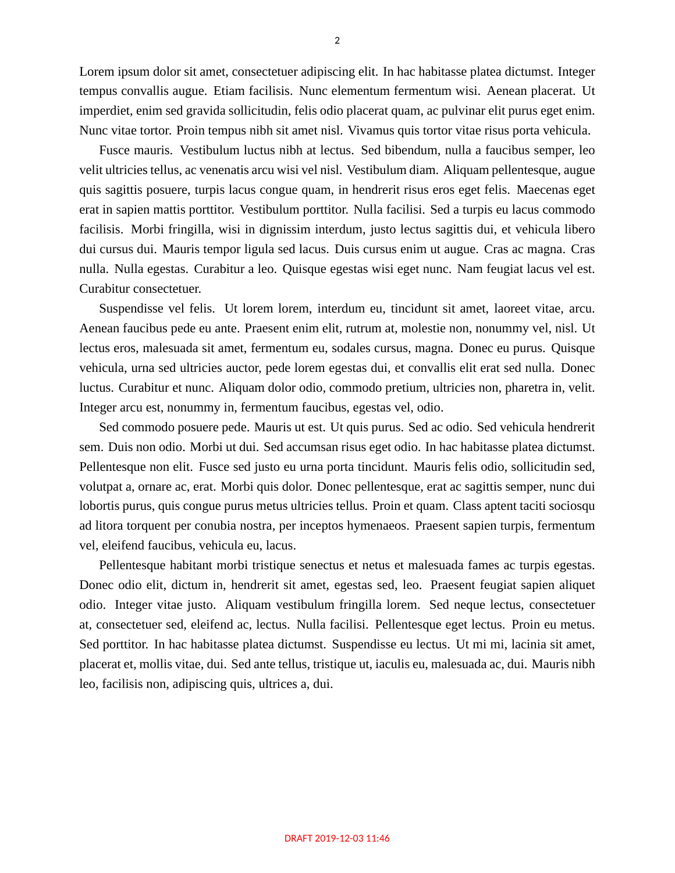Lorem ipsum dolor sit amet, consectetuer adipiscing elit. In hac habitasse platea dictumst. Integer tempus convallis augue. Etiam facilisis. Nunc elementum fermentum wisi. Aenean placerat. Ut imperdiet, enim sed gravida sollicitudin, felis odio placerat quam, ac pulvinar elit purus eget enim. Nunc vitae tortor. Proin tempus nibh sit amet nisl. Vivamus quis tortor vitae risus porta vehicula.

Fusce mauris. Vestibulum luctus nibh at lectus. Sed bibendum, nulla a faucibus semper, leo velit ultricies tellus, ac venenatis arcu wisi vel nisl. Vestibulum diam. Aliquam pellentesque, augue quis sagittis posuere, turpis lacus congue quam, in hendrerit risus eros eget felis. Maecenas eget erat in sapien mattis porttitor. Vestibulum porttitor. Nulla facilisi. Sed a turpis eu lacus commodo facilisis. Morbi fringilla, wisi in dignissim interdum, justo lectus sagittis dui, et vehicula libero dui cursus dui. Mauris tempor ligula sed lacus. Duis cursus enim ut augue. Cras ac magna. Cras nulla. Nulla egestas. Curabitur a leo. Quisque egestas wisi eget nunc. Nam feugiat lacus vel est. Curabitur consectetuer.

Suspendisse vel felis. Ut lorem lorem, interdum eu, tincidunt sit amet, laoreet vitae, arcu. Aenean faucibus pede eu ante. Praesent enim elit, rutrum at, molestie non, nonummy vel, nisl. Ut lectus eros, malesuada sit amet, fermentum eu, sodales cursus, magna. Donec eu purus. Quisque vehicula, urna sed ultricies auctor, pede lorem egestas dui, et convallis elit erat sed nulla. Donec luctus. Curabitur et nunc. Aliquam dolor odio, commodo pretium, ultricies non, pharetra in, velit. Integer arcu est, nonummy in, fermentum faucibus, egestas vel, odio.

Sed commodo posuere pede. Mauris ut est. Ut quis purus. Sed ac odio. Sed vehicula hendrerit sem. Duis non odio. Morbi ut dui. Sed accumsan risus eget odio. In hac habitasse platea dictumst. Pellentesque non elit. Fusce sed justo eu urna porta tincidunt. Mauris felis odio, sollicitudin sed, volutpat a, ornare ac, erat. Morbi quis dolor. Donec pellentesque, erat ac sagittis semper, nunc dui lobortis purus, quis congue purus metus ultricies tellus. Proin et quam. Class aptent taciti sociosqu ad litora torquent per conubia nostra, per inceptos hymenaeos. Praesent sapien turpis, fermentum vel, eleifend faucibus, vehicula eu, lacus.

Pellentesque habitant morbi tristique senectus et netus et malesuada fames ac turpis egestas. Donec odio elit, dictum in, hendrerit sit amet, egestas sed, leo. Praesent feugiat sapien aliquet odio. Integer vitae justo. Aliquam vestibulum fringilla lorem. Sed neque lectus, consectetuer at, consectetuer sed, eleifend ac, lectus. Nulla facilisi. Pellentesque eget lectus. Proin eu metus. Sed porttitor. In hac habitasse platea dictumst. Suspendisse eu lectus. Ut mi mi, lacinia sit amet, placerat et, mollis vitae, dui. Sed ante tellus, tristique ut, iaculis eu, malesuada ac, dui. Mauris nibh leo, facilisis non, adipiscing quis, ultrices a, dui.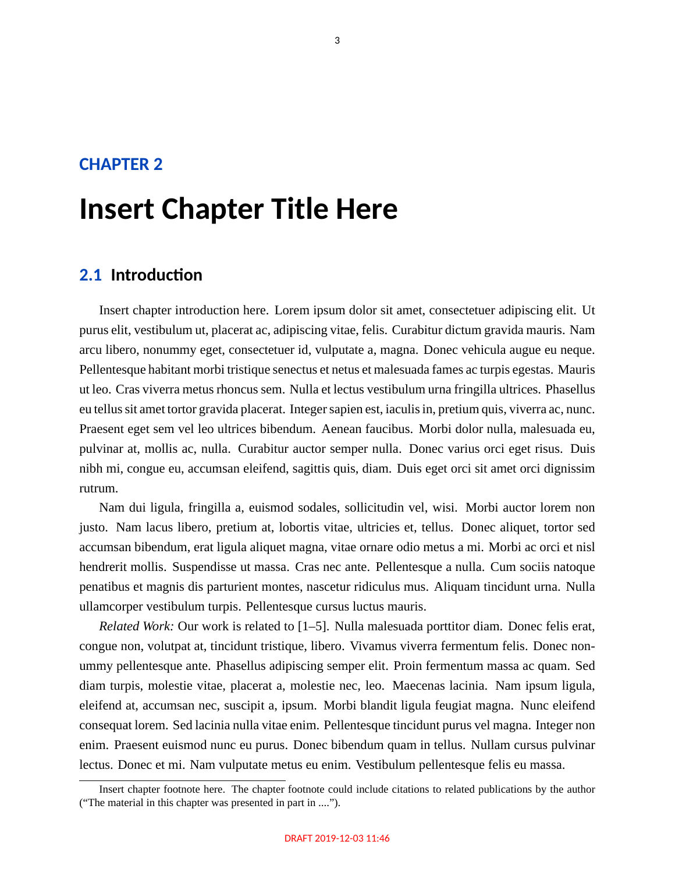## <span id="page-11-0"></span>**CHAPTER 2**

# **Insert Chapter Title Here**

### <span id="page-11-1"></span>**2.1 Introducࢢon**

Insert chapter introduction here. Lorem ipsum dolor sit amet, consectetuer adipiscing elit. Ut purus elit, vestibulum ut, placerat ac, adipiscing vitae, felis. Curabitur dictum gravida mauris. Nam arcu libero, nonummy eget, consectetuer id, vulputate a, magna. Donec vehicula augue eu neque. Pellentesque habitant morbi tristique senectus et netus et malesuada fames ac turpis egestas. Mauris ut leo. Cras viverra metus rhoncus sem. Nulla et lectus vestibulum urna fringilla ultrices. Phasellus eu tellus sit amet tortor gravida placerat. Integer sapien est, iaculis in, pretium quis, viverra ac, nunc. Praesent eget sem vel leo ultrices bibendum. Aenean faucibus. Morbi dolor nulla, malesuada eu, pulvinar at, mollis ac, nulla. Curabitur auctor semper nulla. Donec varius orci eget risus. Duis nibh mi, congue eu, accumsan eleifend, sagittis quis, diam. Duis eget orci sit amet orci dignissim rutrum.

Nam dui ligula, fringilla a, euismod sodales, sollicitudin vel, wisi. Morbi auctor lorem non justo. Nam lacus libero, pretium at, lobortis vitae, ultricies et, tellus. Donec aliquet, tortor sed accumsan bibendum, erat ligula aliquet magna, vitae ornare odio metus a mi. Morbi ac orci et nisl hendrerit mollis. Suspendisse ut massa. Cras nec ante. Pellentesque a nulla. Cum sociis natoque penatibus et magnis dis parturient montes, nascetur ridiculus mus. Aliquam tincidunt urna. Nulla ullamcorper vestibulum turpis. Pellentesque cursus luctus mauris.

*Related Work:* Our work is related to [\[1](#page-24-1)[–5](#page-24-2)]. Nulla malesuada porttitor diam. Donec felis erat, congue non, volutpat at, tincidunt tristique, libero. Vivamus viverra fermentum felis. Donec nonummy pellentesque ante. Phasellus adipiscing semper elit. Proin fermentum massa ac quam. Sed diam turpis, molestie vitae, placerat a, molestie nec, leo. Maecenas lacinia. Nam ipsum ligula, eleifend at, accumsan nec, suscipit a, ipsum. Morbi blandit ligula feugiat magna. Nunc eleifend consequat lorem. Sed lacinia nulla vitae enim. Pellentesque tincidunt purus vel magna. Integer non enim. Praesent euismod nunc eu purus. Donec bibendum quam in tellus. Nullam cursus pulvinar lectus. Donec et mi. Nam vulputate metus eu enim. Vestibulum pellentesque felis eu massa.

Insert chapter footnote here. The chapter footnote could include citations to related publications by the author ("The material in this chapter was presented in part in ....").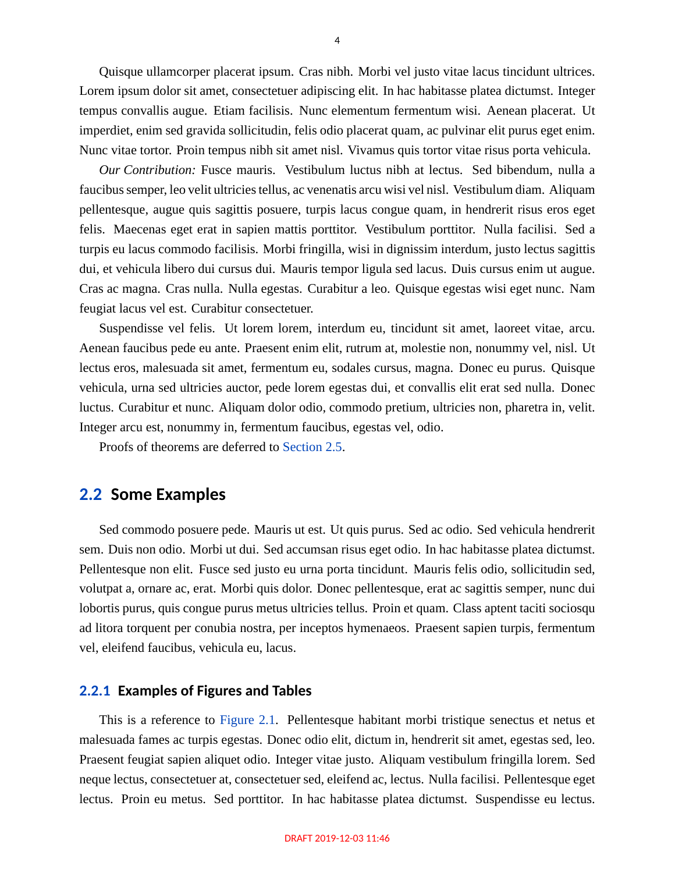Quisque ullamcorper placerat ipsum. Cras nibh. Morbi vel justo vitae lacus tincidunt ultrices. Lorem ipsum dolor sit amet, consectetuer adipiscing elit. In hac habitasse platea dictumst. Integer tempus convallis augue. Etiam facilisis. Nunc elementum fermentum wisi. Aenean placerat. Ut imperdiet, enim sed gravida sollicitudin, felis odio placerat quam, ac pulvinar elit purus eget enim. Nunc vitae tortor. Proin tempus nibh sit amet nisl. Vivamus quis tortor vitae risus porta vehicula.

*Our Contribution:* Fusce mauris. Vestibulum luctus nibh at lectus. Sed bibendum, nulla a faucibus semper, leo velit ultricies tellus, ac venenatis arcu wisi vel nisl. Vestibulum diam. Aliquam pellentesque, augue quis sagittis posuere, turpis lacus congue quam, in hendrerit risus eros eget felis. Maecenas eget erat in sapien mattis porttitor. Vestibulum porttitor. Nulla facilisi. Sed a turpis eu lacus commodo facilisis. Morbi fringilla, wisi in dignissim interdum, justo lectus sagittis dui, et vehicula libero dui cursus dui. Mauris tempor ligula sed lacus. Duis cursus enim ut augue. Cras ac magna. Cras nulla. Nulla egestas. Curabitur a leo. Quisque egestas wisi eget nunc. Nam feugiat lacus vel est. Curabitur consectetuer.

Suspendisse vel felis. Ut lorem lorem, interdum eu, tincidunt sit amet, laoreet vitae, arcu. Aenean faucibus pede eu ante. Praesent enim elit, rutrum at, molestie non, nonummy vel, nisl. Ut lectus eros, malesuada sit amet, fermentum eu, sodales cursus, magna. Donec eu purus. Quisque vehicula, urna sed ultricies auctor, pede lorem egestas dui, et convallis elit erat sed nulla. Donec luctus. Curabitur et nunc. Aliquam dolor odio, commodo pretium, ultricies non, pharetra in, velit. Integer arcu est, nonummy in, fermentum faucibus, egestas vel, odio.

<span id="page-12-0"></span>Proofs of theorems are deferred to Section [2.5](#page-18-0).

#### **2.2 Some Examples**

Sed commodo posuere pede. Mauris ut est. Ut quis purus. Sed ac odio. Sed vehicula hendrerit sem. Duis non odio. Morbi ut dui. Sed accumsan risus eget odio. In hac habitasse platea dictumst. Pellentesque non elit. Fusce sed justo eu urna porta tincidunt. Mauris felis odio, sollicitudin sed, volutpat a, ornare ac, erat. Morbi quis dolor. Donec pellentesque, erat ac sagittis semper, nunc dui lobortis purus, quis congue purus metus ultricies tellus. Proin et quam. Class aptent taciti sociosqu ad litora torquent per conubia nostra, per inceptos hymenaeos. Praesent sapien turpis, fermentum vel, eleifend faucibus, vehicula eu, lacus.

#### <span id="page-12-1"></span>**2.2.1 Examples of Figures and Tables**

This is a reference to Figure [2.1.](#page-13-0) Pellentesque habitant morbi tristique senectus et netus et malesuada fames ac turpis egestas. Donec odio elit, dictum in, hendrerit sit amet, egestas sed, leo. Praesent feugiat sapien aliquet odio. Integer vitae justo. Aliquam vestibulum fringilla lorem. Sed neque lectus, consectetuer at, consectetuer sed, eleifend ac, lectus. Nulla facilisi. Pellentesque eget lectus. Proin eu metus. Sed porttitor. In hac habitasse platea dictumst. Suspendisse eu lectus.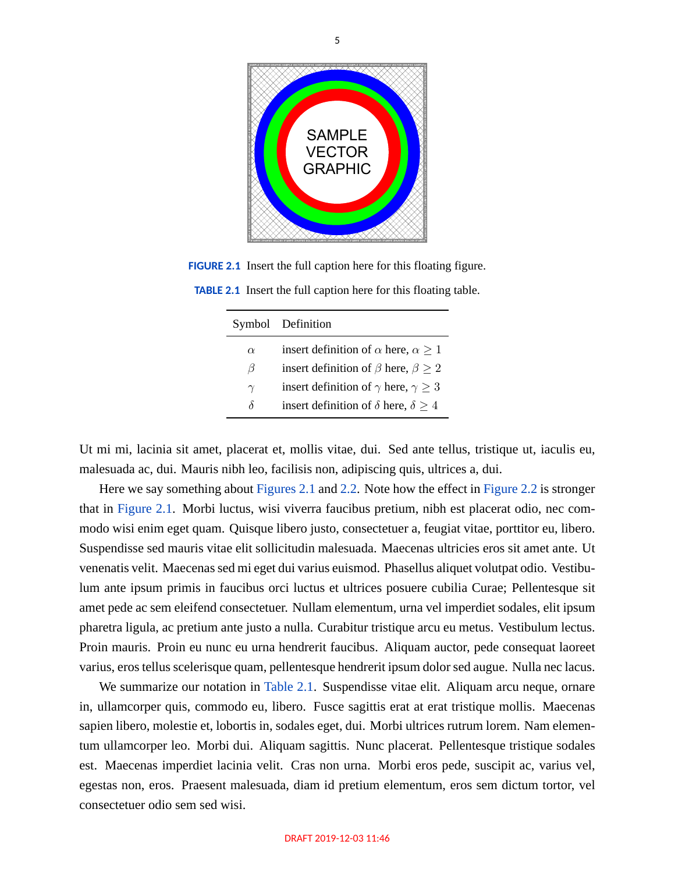

**FIGURE 2.1** Insert the full caption here for this floating figure.

<span id="page-13-0"></span>**TABLE 2.1** Insert the full caption here for this floating table.

<span id="page-13-1"></span>

|          | Symbol Definition                                   |
|----------|-----------------------------------------------------|
| $\alpha$ | insert definition of $\alpha$ here, $\alpha > 1$    |
| $\beta$  | insert definition of $\beta$ here, $\beta \geq 2$   |
| $\gamma$ | insert definition of $\gamma$ here, $\gamma \geq 3$ |
| δ        | insert definition of $\delta$ here, $\delta > 4$    |

Ut mi mi, lacinia sit amet, placerat et, mollis vitae, dui. Sed ante tellus, tristique ut, iaculis eu, malesuada ac, dui. Mauris nibh leo, facilisis non, adipiscing quis, ultrices a, dui.

Here we say something about Figures [2.1](#page-13-0) and [2.2.](#page-14-0) Note how the effect in Figure [2.2](#page-14-0) is stronger that in Figure [2.1](#page-13-0). Morbi luctus, wisi viverra faucibus pretium, nibh est placerat odio, nec commodo wisi enim eget quam. Quisque libero justo, consectetuer a, feugiat vitae, porttitor eu, libero. Suspendisse sed mauris vitae elit sollicitudin malesuada. Maecenas ultricies eros sit amet ante. Ut venenatis velit. Maecenas sed mi eget dui varius euismod. Phasellus aliquet volutpat odio. Vestibulum ante ipsum primis in faucibus orci luctus et ultrices posuere cubilia Curae; Pellentesque sit amet pede ac sem eleifend consectetuer. Nullam elementum, urna vel imperdiet sodales, elit ipsum pharetra ligula, ac pretium ante justo a nulla. Curabitur tristique arcu eu metus. Vestibulum lectus. Proin mauris. Proin eu nunc eu urna hendrerit faucibus. Aliquam auctor, pede consequat laoreet varius, eros tellus scelerisque quam, pellentesque hendrerit ipsum dolor sed augue. Nulla nec lacus.

We summarize our notation in Table [2.1](#page-13-1). Suspendisse vitae elit. Aliquam arcu neque, ornare in, ullamcorper quis, commodo eu, libero. Fusce sagittis erat at erat tristique mollis. Maecenas sapien libero, molestie et, lobortis in, sodales eget, dui. Morbi ultrices rutrum lorem. Nam elementum ullamcorper leo. Morbi dui. Aliquam sagittis. Nunc placerat. Pellentesque tristique sodales est. Maecenas imperdiet lacinia velit. Cras non urna. Morbi eros pede, suscipit ac, varius vel, egestas non, eros. Praesent malesuada, diam id pretium elementum, eros sem dictum tortor, vel consectetuer odio sem sed wisi.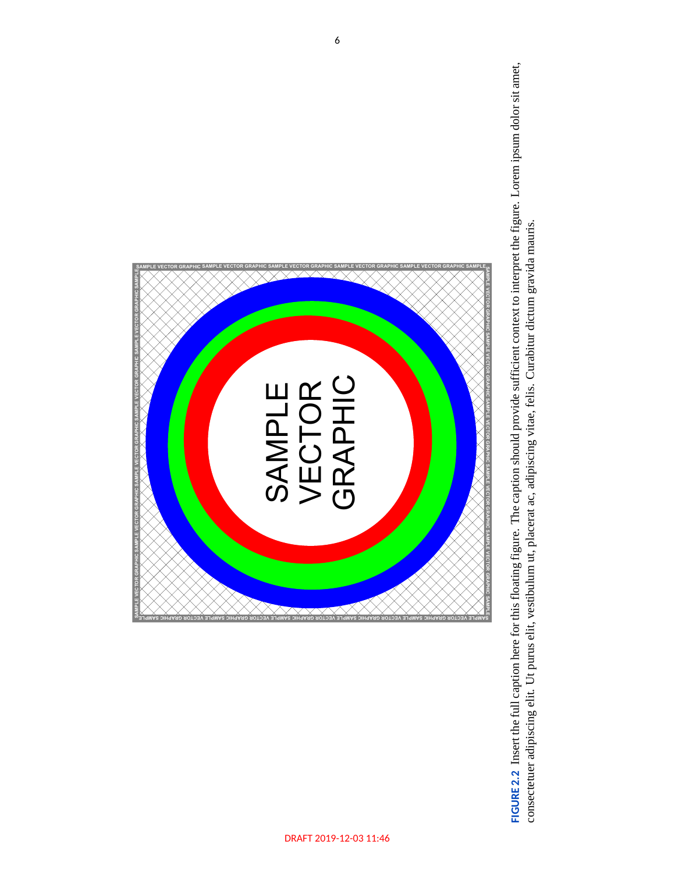<span id="page-14-0"></span>

FIGURE 2.2 Insert the full caption here for this floating figure. The caption should provide sufficient context to interpret the figure. Lorem ipsum dolor sit amet, **FIGURE 2.2** Insert the full caption here for this floating figure. The caption should provide sufficient context to interpret the figure. Lorem ipsum dolor sit amet, consectetuer adipiscing elit. Ut purus elit, vestibulum ut, placerat ac, adipiscing vitae, felis. Curabitur dictum gravida mauris. consectetuer adipiscing elit. Ut purus elit, vestibulum ut, placerat ac, adipiscing vitae, felis. Curabitur dictum gravida mauris.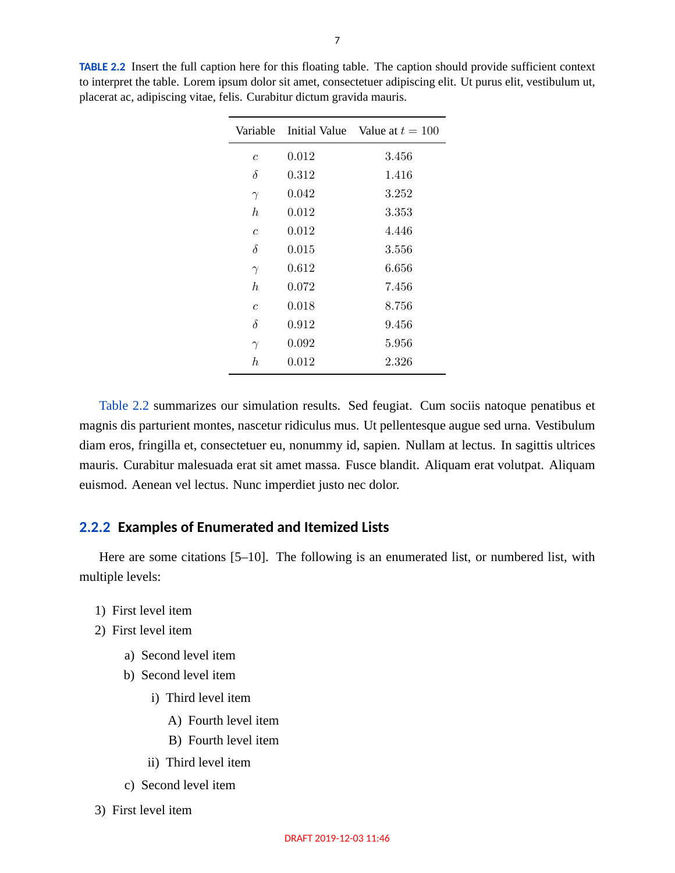| Variable       | Initial Value | Value at $t = 100$ |
|----------------|---------------|--------------------|
| Ċ              | 0.012         | 3.456              |
| $\delta$       | 0.312         | 1.416              |
| $\gamma$       | 0.042         | 3.252              |
| h,             | 0.012         | $3.353\,$          |
| $\overline{c}$ | 0.012         | 4.446              |
| $\delta$       | 0.015         | 3.556              |
| $\gamma$       | 0.612         | 6.656              |
| h.             | 0.072         | 7.456              |
| $\epsilon$     | 0.018         | 8.756              |
| $\delta$       | 0.912         | 9.456              |
| $\gamma$       | 0.092         | 5.956              |
| h.             | 0.012         | 2.326              |

<span id="page-15-1"></span>**TABLE 2.2** Insert the full caption here for this floating table. The caption should provide sufficient context to interpret the table. Lorem ipsum dolor sit amet, consectetuer adipiscing elit. Ut purus elit, vestibulum ut, placerat ac, adipiscing vitae, felis. Curabitur dictum gravida mauris.

Table [2.2](#page-15-1) summarizes our simulation results. Sed feugiat. Cum sociis natoque penatibus et magnis dis parturient montes, nascetur ridiculus mus. Ut pellentesque augue sed urna. Vestibulum diam eros, fringilla et, consectetuer eu, nonummy id, sapien. Nullam at lectus. In sagittis ultrices mauris. Curabitur malesuada erat sit amet massa. Fusce blandit. Aliquam erat volutpat. Aliquam euismod. Aenean vel lectus. Nunc imperdiet justo nec dolor.

#### <span id="page-15-0"></span>**2.2.2 Examples of Enumerated and Itemized Lists**

Here are some citations[[5–](#page-24-2)[10\]](#page-25-0). The following is an enumerated list, or numbered list, with multiple levels:

- <span id="page-15-2"></span>1) First level item
- 2) First level item
	- a) Second level item
	- b) Second level item
		- i) Third level item
			- A) Fourth level item
			- B) Fourth level item
		- ii) Third level item
	- c) Second level item
- <span id="page-15-3"></span>3) First level item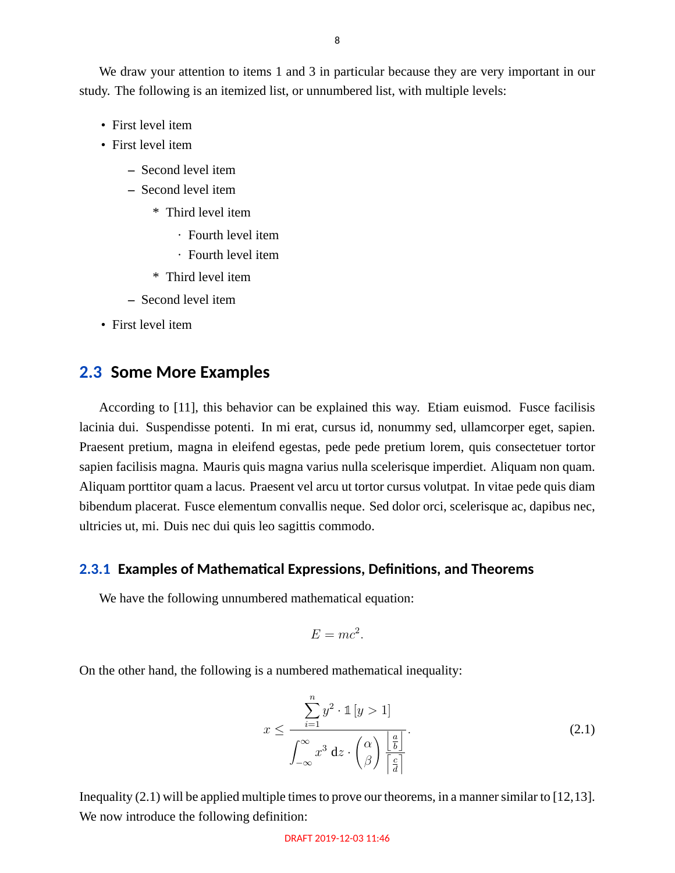We draw your attention to items [1](#page-15-2) and [3](#page-15-3) in particular because they are very important in our study. The following is an itemized list, or unnumbered list, with multiple levels:

- First level item
- First level item
	- **–** Second level item
	- **–** Second level item
		- \* Third level item
			- · Fourth level item
			- · Fourth level item
		- \* Third level item
	- **–** Second level item
- First level item

#### <span id="page-16-0"></span>**2.3 Some More Examples**

According to[[11](#page-25-1)], this behavior can be explained this way. Etiam euismod. Fusce facilisis lacinia dui. Suspendisse potenti. In mi erat, cursus id, nonummy sed, ullamcorper eget, sapien. Praesent pretium, magna in eleifend egestas, pede pede pretium lorem, quis consectetuer tortor sapien facilisis magna. Mauris quis magna varius nulla scelerisque imperdiet. Aliquam non quam. Aliquam porttitor quam a lacus. Praesent vel arcu ut tortor cursus volutpat. In vitae pede quis diam bibendum placerat. Fusce elementum convallis neque. Sed dolor orci, scelerisque ac, dapibus nec, ultricies ut, mi. Duis nec dui quis leo sagittis commodo.

#### <span id="page-16-1"></span>**2.3.1 Examples of Mathemaࢢcal Expressions, Definiࢢons, and Theorems**

We have the following unnumbered mathematical equation:

<span id="page-16-2"></span>
$$
E = mc^2.
$$

On the other hand, the following is a numbered mathematical inequality:

$$
x \le \frac{\sum_{i=1}^{n} y^2 \cdot \mathbb{1} \left[ y > 1 \right]}{\int_{-\infty}^{\infty} x^3 \, \mathrm{d}z \cdot \binom{\alpha}{\beta} \frac{\left[ \frac{a}{b} \right]}{\left[ \frac{c}{d} \right]}}.
$$
\n(2.1)

Inequality([2.1\)](#page-16-2) will be applied multiple times to prove our theorems, in a manner similar to[[12](#page-25-2),[13](#page-25-3)]. We now introduce the following definition: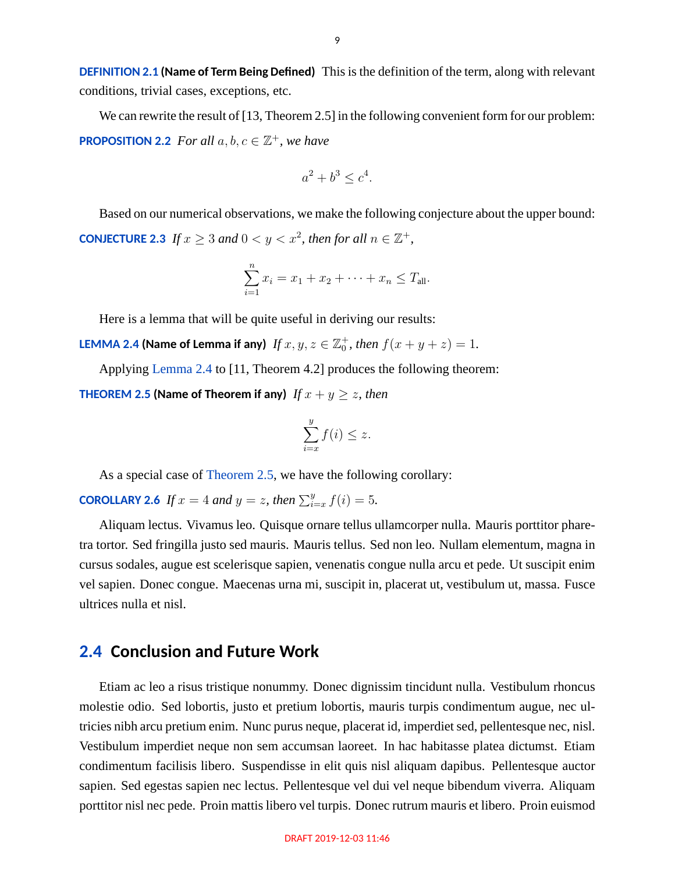**DEFINITION 2.1 (Name of Term Being Defined)** This is the definition of the term, along with relevant conditions, trivial cases, exceptions, etc.

We can rewrite the result of [\[13](#page-25-3), Theorem 2.5] in the following convenient form for our problem: **PROPOSITION 2.2** *For all*  $a, b, c \in \mathbb{Z}^+$ , we have

$$
a^2 + b^3 \le c^4.
$$

Based on our numerical observations, we make the following conjecture about the upper bound: **CONJECTURE 2.3** *If*  $x \geq 3$  *and*  $0 < y < x^2$ , *then for all*  $n \in \mathbb{Z}^+$ ,

$$
\sum_{i=1}^{n} x_i = x_1 + x_2 + \dots + x_n \le T_{\text{all}}.
$$

Here is a lemma that will be quite useful in deriving our results:

<span id="page-17-1"></span>**LEMMA 2.4 (Name of Lemma if any)** *If*  $x, y, z \in \mathbb{Z}_0^+$ , then  $f(x + y + z) = 1$ .

Applying Lemma [2.4](#page-17-1) to[[11](#page-25-1), Theorem 4.2] produces the following theorem:

<span id="page-17-2"></span>**THEOREM 2.5 (Name of Theorem if any)** *If*  $x + y \geq z$ *, then* 

$$
\sum_{i=x}^{y} f(i) \le z.
$$

As a special case of Theorem [2.5](#page-17-2), we have the following corollary:

**COROLLARY 2.6** *If*  $x = 4$  *and*  $y = z$ *, then*  $\sum_{i=x}^{y} f(i) = 5$ *.* 

Aliquam lectus. Vivamus leo. Quisque ornare tellus ullamcorper nulla. Mauris porttitor pharetra tortor. Sed fringilla justo sed mauris. Mauris tellus. Sed non leo. Nullam elementum, magna in cursus sodales, augue est scelerisque sapien, venenatis congue nulla arcu et pede. Ut suscipit enim vel sapien. Donec congue. Maecenas urna mi, suscipit in, placerat ut, vestibulum ut, massa. Fusce ultrices nulla et nisl.

### <span id="page-17-0"></span>**2.4 Conclusion and Future Work**

Etiam ac leo a risus tristique nonummy. Donec dignissim tincidunt nulla. Vestibulum rhoncus molestie odio. Sed lobortis, justo et pretium lobortis, mauris turpis condimentum augue, nec ultricies nibh arcu pretium enim. Nunc purus neque, placerat id, imperdiet sed, pellentesque nec, nisl. Vestibulum imperdiet neque non sem accumsan laoreet. In hac habitasse platea dictumst. Etiam condimentum facilisis libero. Suspendisse in elit quis nisl aliquam dapibus. Pellentesque auctor sapien. Sed egestas sapien nec lectus. Pellentesque vel dui vel neque bibendum viverra. Aliquam porttitor nisl nec pede. Proin mattis libero vel turpis. Donec rutrum mauris et libero. Proin euismod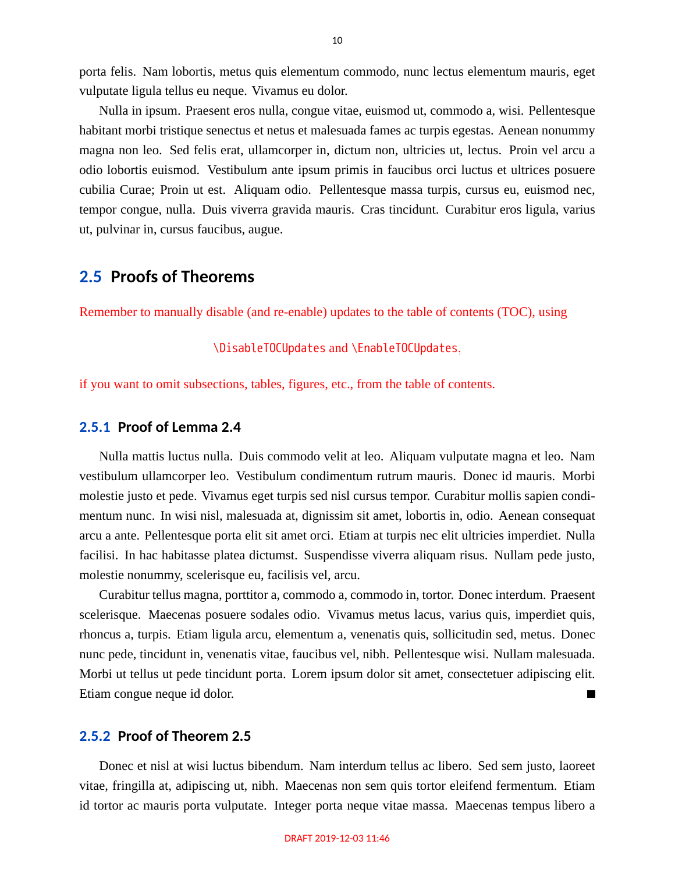porta felis. Nam lobortis, metus quis elementum commodo, nunc lectus elementum mauris, eget vulputate ligula tellus eu neque. Vivamus eu dolor.

Nulla in ipsum. Praesent eros nulla, congue vitae, euismod ut, commodo a, wisi. Pellentesque habitant morbi tristique senectus et netus et malesuada fames ac turpis egestas. Aenean nonummy magna non leo. Sed felis erat, ullamcorper in, dictum non, ultricies ut, lectus. Proin vel arcu a odio lobortis euismod. Vestibulum ante ipsum primis in faucibus orci luctus et ultrices posuere cubilia Curae; Proin ut est. Aliquam odio. Pellentesque massa turpis, cursus eu, euismod nec, tempor congue, nulla. Duis viverra gravida mauris. Cras tincidunt. Curabitur eros ligula, varius ut, pulvinar in, cursus faucibus, augue.

## <span id="page-18-0"></span>**2.5 Proofs of Theorems**

Remember to manually disable (and re-enable) updates to the table of contents (TOC), using

\DisableTOCUpdates and \EnableTOCUpdates*,*

if you want to omit subsections, tables, figures, etc., from the table of contents.

#### **2.5.1 Proof of Lemma [2.4](#page-17-1)**

Nulla mattis luctus nulla. Duis commodo velit at leo. Aliquam vulputate magna et leo. Nam vestibulum ullamcorper leo. Vestibulum condimentum rutrum mauris. Donec id mauris. Morbi molestie justo et pede. Vivamus eget turpis sed nisl cursus tempor. Curabitur mollis sapien condimentum nunc. In wisi nisl, malesuada at, dignissim sit amet, lobortis in, odio. Aenean consequat arcu a ante. Pellentesque porta elit sit amet orci. Etiam at turpis nec elit ultricies imperdiet. Nulla facilisi. In hac habitasse platea dictumst. Suspendisse viverra aliquam risus. Nullam pede justo, molestie nonummy, scelerisque eu, facilisis vel, arcu.

Curabitur tellus magna, porttitor a, commodo a, commodo in, tortor. Donec interdum. Praesent scelerisque. Maecenas posuere sodales odio. Vivamus metus lacus, varius quis, imperdiet quis, rhoncus a, turpis. Etiam ligula arcu, elementum a, venenatis quis, sollicitudin sed, metus. Donec nunc pede, tincidunt in, venenatis vitae, faucibus vel, nibh. Pellentesque wisi. Nullam malesuada. Morbi ut tellus ut pede tincidunt porta. Lorem ipsum dolor sit amet, consectetuer adipiscing elit. Etiam congue neque id dolor. **In the Second** 

#### **2.5.2 Proof of Theorem [2.5](#page-17-2)**

Donec et nisl at wisi luctus bibendum. Nam interdum tellus ac libero. Sed sem justo, laoreet vitae, fringilla at, adipiscing ut, nibh. Maecenas non sem quis tortor eleifend fermentum. Etiam id tortor ac mauris porta vulputate. Integer porta neque vitae massa. Maecenas tempus libero a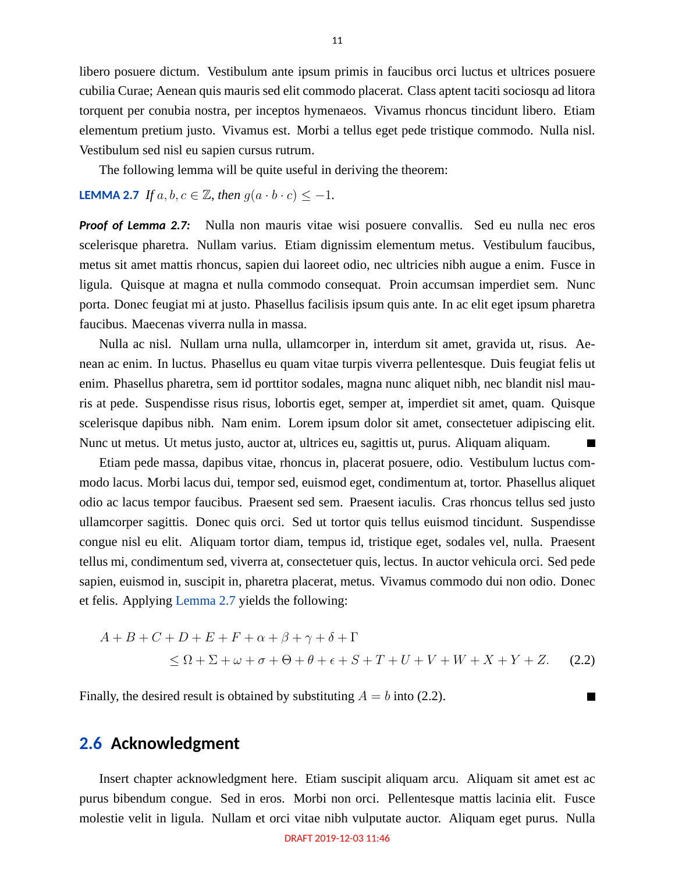libero posuere dictum. Vestibulum ante ipsum primis in faucibus orci luctus et ultrices posuere cubilia Curae; Aenean quis mauris sed elit commodo placerat. Class aptent taciti sociosqu ad litora torquent per conubia nostra, per inceptos hymenaeos. Vivamus rhoncus tincidunt libero. Etiam elementum pretium justo. Vivamus est. Morbi a tellus eget pede tristique commodo. Nulla nisl. Vestibulum sed nisl eu sapien cursus rutrum.

The following lemma will be quite useful in deriving the theorem:

#### <span id="page-19-1"></span>**LEMMA 2.7** *If*  $a, b, c \in \mathbb{Z}$ , then  $q(a \cdot b \cdot c) \leq -1$ .

**Proof of Lemma [2.7](#page-19-1):** Nulla non mauris vitae wisi posuere convallis. Sed eu nulla nec eros scelerisque pharetra. Nullam varius. Etiam dignissim elementum metus. Vestibulum faucibus, metus sit amet mattis rhoncus, sapien dui laoreet odio, nec ultricies nibh augue a enim. Fusce in ligula. Quisque at magna et nulla commodo consequat. Proin accumsan imperdiet sem. Nunc porta. Donec feugiat mi at justo. Phasellus facilisis ipsum quis ante. In ac elit eget ipsum pharetra faucibus. Maecenas viverra nulla in massa.

Nulla ac nisl. Nullam urna nulla, ullamcorper in, interdum sit amet, gravida ut, risus. Aenean ac enim. In luctus. Phasellus eu quam vitae turpis viverra pellentesque. Duis feugiat felis ut enim. Phasellus pharetra, sem id porttitor sodales, magna nunc aliquet nibh, nec blandit nisl mauris at pede. Suspendisse risus risus, lobortis eget, semper at, imperdiet sit amet, quam. Quisque scelerisque dapibus nibh. Nam enim. Lorem ipsum dolor sit amet, consectetuer adipiscing elit. Nunc ut metus. Ut metus justo, auctor at, ultrices eu, sagittis ut, purus. Aliquam aliquam.  $\blacksquare$ 

Etiam pede massa, dapibus vitae, rhoncus in, placerat posuere, odio. Vestibulum luctus commodo lacus. Morbi lacus dui, tempor sed, euismod eget, condimentum at, tortor. Phasellus aliquet odio ac lacus tempor faucibus. Praesent sed sem. Praesent iaculis. Cras rhoncus tellus sed justo ullamcorper sagittis. Donec quis orci. Sed ut tortor quis tellus euismod tincidunt. Suspendisse congue nisl eu elit. Aliquam tortor diam, tempus id, tristique eget, sodales vel, nulla. Praesent tellus mi, condimentum sed, viverra at, consectetuer quis, lectus. In auctor vehicula orci. Sed pede sapien, euismod in, suscipit in, pharetra placerat, metus. Vivamus commodo dui non odio. Donec et felis. Applying Lemma [2.7](#page-19-1) yields the following:

$$
A + B + C + D + E + F + \alpha + \beta + \gamma + \delta + \Gamma
$$
  
\n
$$
\leq \Omega + \Sigma + \omega + \sigma + \Theta + \theta + \epsilon + S + T + U + V + W + X + Y + Z.
$$
 (2.2)

<span id="page-19-2"></span> $\blacksquare$ 

<span id="page-19-0"></span>Finally,the desired result is obtained by substituting  $A = b$  into ([2.2\)](#page-19-2).

### **2.6 Acknowledgment**

Insert chapter acknowledgment here. Etiam suscipit aliquam arcu. Aliquam sit amet est ac purus bibendum congue. Sed in eros. Morbi non orci. Pellentesque mattis lacinia elit. Fusce molestie velit in ligula. Nullam et orci vitae nibh vulputate auctor. Aliquam eget purus. Nulla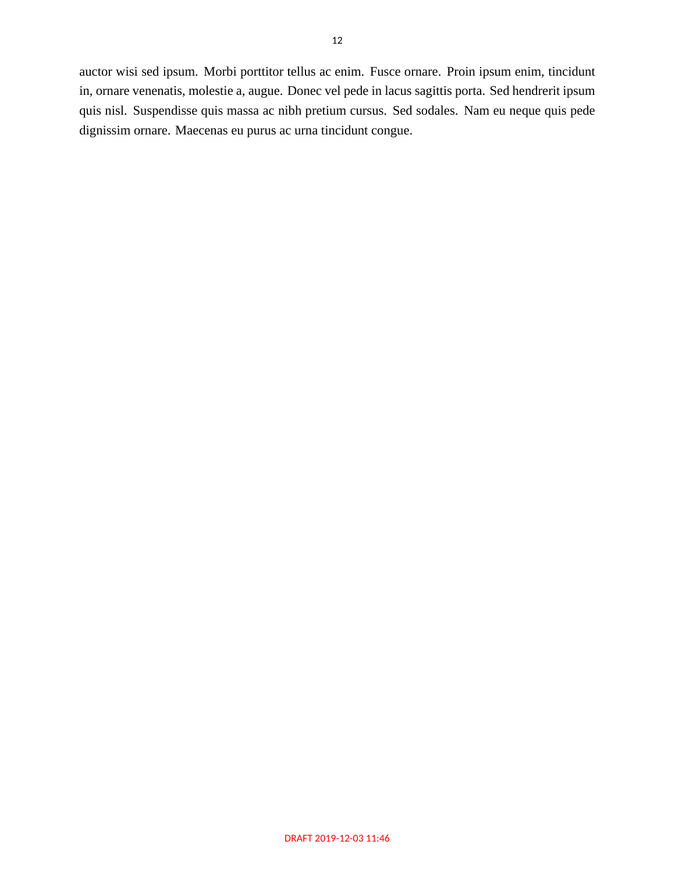auctor wisi sed ipsum. Morbi porttitor tellus ac enim. Fusce ornare. Proin ipsum enim, tincidunt in, ornare venenatis, molestie a, augue. Donec vel pede in lacus sagittis porta. Sed hendrerit ipsum quis nisl. Suspendisse quis massa ac nibh pretium cursus. Sed sodales. Nam eu neque quis pede dignissim ornare. Maecenas eu purus ac urna tincidunt congue.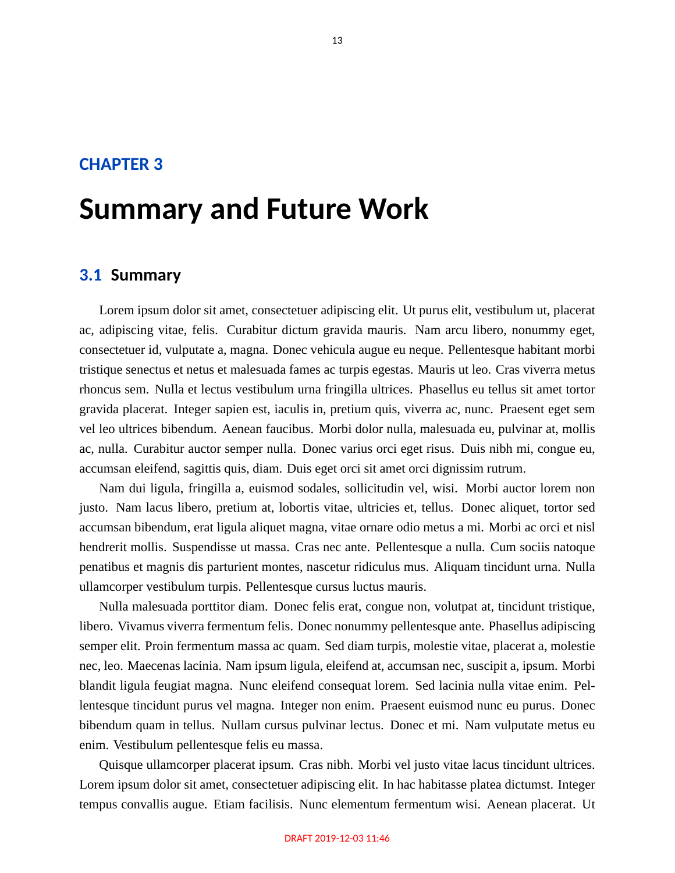## <span id="page-21-0"></span>**CHAPTER 3**

## **Summary and Future Work**

### <span id="page-21-1"></span>**3.1 Summary**

Lorem ipsum dolor sit amet, consectetuer adipiscing elit. Ut purus elit, vestibulum ut, placerat ac, adipiscing vitae, felis. Curabitur dictum gravida mauris. Nam arcu libero, nonummy eget, consectetuer id, vulputate a, magna. Donec vehicula augue eu neque. Pellentesque habitant morbi tristique senectus et netus et malesuada fames ac turpis egestas. Mauris ut leo. Cras viverra metus rhoncus sem. Nulla et lectus vestibulum urna fringilla ultrices. Phasellus eu tellus sit amet tortor gravida placerat. Integer sapien est, iaculis in, pretium quis, viverra ac, nunc. Praesent eget sem vel leo ultrices bibendum. Aenean faucibus. Morbi dolor nulla, malesuada eu, pulvinar at, mollis ac, nulla. Curabitur auctor semper nulla. Donec varius orci eget risus. Duis nibh mi, congue eu, accumsan eleifend, sagittis quis, diam. Duis eget orci sit amet orci dignissim rutrum.

Nam dui ligula, fringilla a, euismod sodales, sollicitudin vel, wisi. Morbi auctor lorem non justo. Nam lacus libero, pretium at, lobortis vitae, ultricies et, tellus. Donec aliquet, tortor sed accumsan bibendum, erat ligula aliquet magna, vitae ornare odio metus a mi. Morbi ac orci et nisl hendrerit mollis. Suspendisse ut massa. Cras nec ante. Pellentesque a nulla. Cum sociis natoque penatibus et magnis dis parturient montes, nascetur ridiculus mus. Aliquam tincidunt urna. Nulla ullamcorper vestibulum turpis. Pellentesque cursus luctus mauris.

Nulla malesuada porttitor diam. Donec felis erat, congue non, volutpat at, tincidunt tristique, libero. Vivamus viverra fermentum felis. Donec nonummy pellentesque ante. Phasellus adipiscing semper elit. Proin fermentum massa ac quam. Sed diam turpis, molestie vitae, placerat a, molestie nec, leo. Maecenas lacinia. Nam ipsum ligula, eleifend at, accumsan nec, suscipit a, ipsum. Morbi blandit ligula feugiat magna. Nunc eleifend consequat lorem. Sed lacinia nulla vitae enim. Pellentesque tincidunt purus vel magna. Integer non enim. Praesent euismod nunc eu purus. Donec bibendum quam in tellus. Nullam cursus pulvinar lectus. Donec et mi. Nam vulputate metus eu enim. Vestibulum pellentesque felis eu massa.

Quisque ullamcorper placerat ipsum. Cras nibh. Morbi vel justo vitae lacus tincidunt ultrices. Lorem ipsum dolor sit amet, consectetuer adipiscing elit. In hac habitasse platea dictumst. Integer tempus convallis augue. Etiam facilisis. Nunc elementum fermentum wisi. Aenean placerat. Ut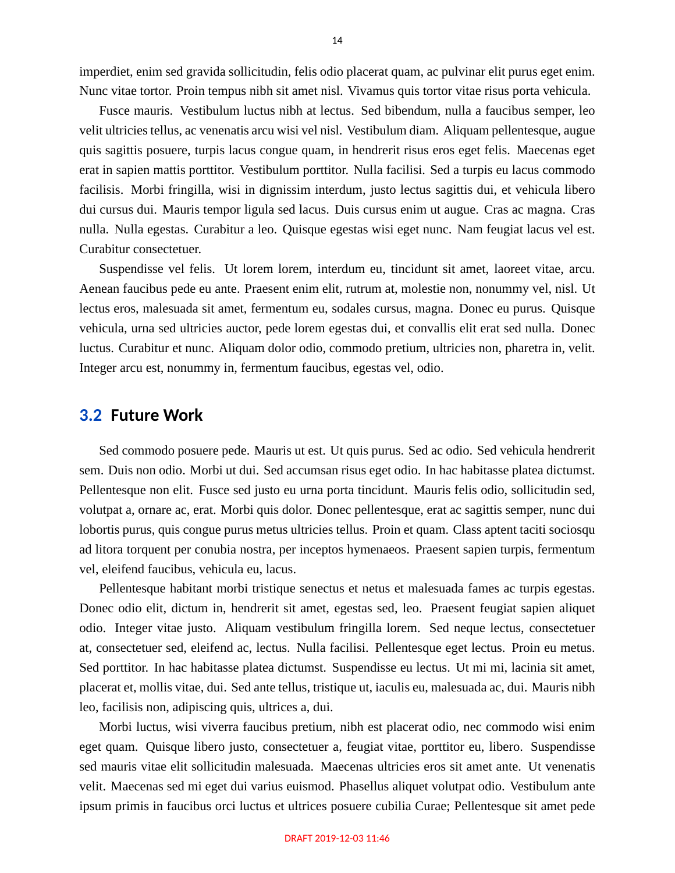imperdiet, enim sed gravida sollicitudin, felis odio placerat quam, ac pulvinar elit purus eget enim. Nunc vitae tortor. Proin tempus nibh sit amet nisl. Vivamus quis tortor vitae risus porta vehicula.

Fusce mauris. Vestibulum luctus nibh at lectus. Sed bibendum, nulla a faucibus semper, leo velit ultricies tellus, ac venenatis arcu wisi vel nisl. Vestibulum diam. Aliquam pellentesque, augue quis sagittis posuere, turpis lacus congue quam, in hendrerit risus eros eget felis. Maecenas eget erat in sapien mattis porttitor. Vestibulum porttitor. Nulla facilisi. Sed a turpis eu lacus commodo facilisis. Morbi fringilla, wisi in dignissim interdum, justo lectus sagittis dui, et vehicula libero dui cursus dui. Mauris tempor ligula sed lacus. Duis cursus enim ut augue. Cras ac magna. Cras nulla. Nulla egestas. Curabitur a leo. Quisque egestas wisi eget nunc. Nam feugiat lacus vel est. Curabitur consectetuer.

Suspendisse vel felis. Ut lorem lorem, interdum eu, tincidunt sit amet, laoreet vitae, arcu. Aenean faucibus pede eu ante. Praesent enim elit, rutrum at, molestie non, nonummy vel, nisl. Ut lectus eros, malesuada sit amet, fermentum eu, sodales cursus, magna. Donec eu purus. Quisque vehicula, urna sed ultricies auctor, pede lorem egestas dui, et convallis elit erat sed nulla. Donec luctus. Curabitur et nunc. Aliquam dolor odio, commodo pretium, ultricies non, pharetra in, velit. Integer arcu est, nonummy in, fermentum faucibus, egestas vel, odio.

#### <span id="page-22-0"></span>**3.2 Future Work**

Sed commodo posuere pede. Mauris ut est. Ut quis purus. Sed ac odio. Sed vehicula hendrerit sem. Duis non odio. Morbi ut dui. Sed accumsan risus eget odio. In hac habitasse platea dictumst. Pellentesque non elit. Fusce sed justo eu urna porta tincidunt. Mauris felis odio, sollicitudin sed, volutpat a, ornare ac, erat. Morbi quis dolor. Donec pellentesque, erat ac sagittis semper, nunc dui lobortis purus, quis congue purus metus ultricies tellus. Proin et quam. Class aptent taciti sociosqu ad litora torquent per conubia nostra, per inceptos hymenaeos. Praesent sapien turpis, fermentum vel, eleifend faucibus, vehicula eu, lacus.

Pellentesque habitant morbi tristique senectus et netus et malesuada fames ac turpis egestas. Donec odio elit, dictum in, hendrerit sit amet, egestas sed, leo. Praesent feugiat sapien aliquet odio. Integer vitae justo. Aliquam vestibulum fringilla lorem. Sed neque lectus, consectetuer at, consectetuer sed, eleifend ac, lectus. Nulla facilisi. Pellentesque eget lectus. Proin eu metus. Sed porttitor. In hac habitasse platea dictumst. Suspendisse eu lectus. Ut mi mi, lacinia sit amet, placerat et, mollis vitae, dui. Sed ante tellus, tristique ut, iaculis eu, malesuada ac, dui. Mauris nibh leo, facilisis non, adipiscing quis, ultrices a, dui.

Morbi luctus, wisi viverra faucibus pretium, nibh est placerat odio, nec commodo wisi enim eget quam. Quisque libero justo, consectetuer a, feugiat vitae, porttitor eu, libero. Suspendisse sed mauris vitae elit sollicitudin malesuada. Maecenas ultricies eros sit amet ante. Ut venenatis velit. Maecenas sed mi eget dui varius euismod. Phasellus aliquet volutpat odio. Vestibulum ante ipsum primis in faucibus orci luctus et ultrices posuere cubilia Curae; Pellentesque sit amet pede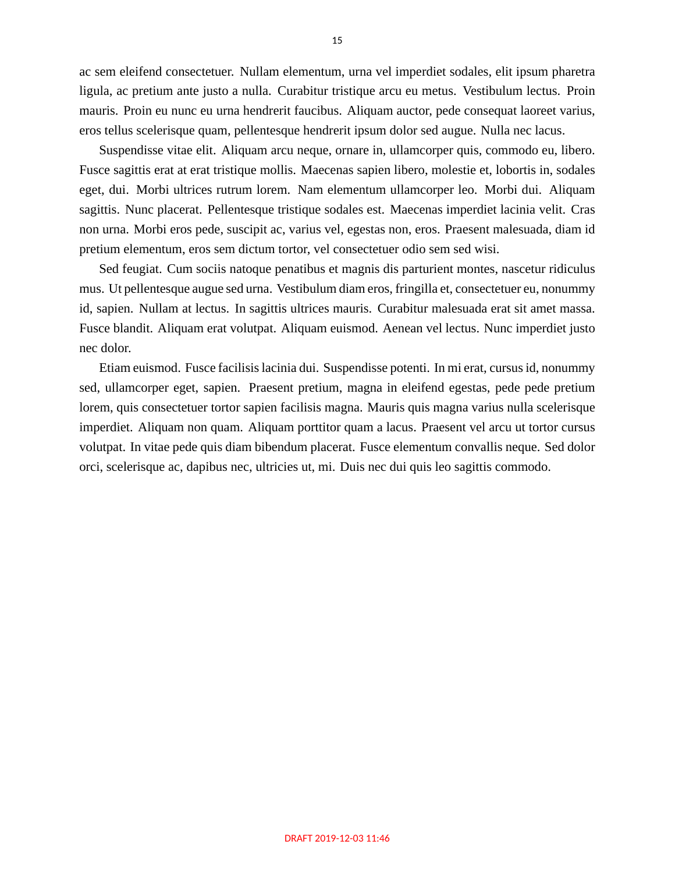ac sem eleifend consectetuer. Nullam elementum, urna vel imperdiet sodales, elit ipsum pharetra ligula, ac pretium ante justo a nulla. Curabitur tristique arcu eu metus. Vestibulum lectus. Proin mauris. Proin eu nunc eu urna hendrerit faucibus. Aliquam auctor, pede consequat laoreet varius, eros tellus scelerisque quam, pellentesque hendrerit ipsum dolor sed augue. Nulla nec lacus.

Suspendisse vitae elit. Aliquam arcu neque, ornare in, ullamcorper quis, commodo eu, libero. Fusce sagittis erat at erat tristique mollis. Maecenas sapien libero, molestie et, lobortis in, sodales eget, dui. Morbi ultrices rutrum lorem. Nam elementum ullamcorper leo. Morbi dui. Aliquam sagittis. Nunc placerat. Pellentesque tristique sodales est. Maecenas imperdiet lacinia velit. Cras non urna. Morbi eros pede, suscipit ac, varius vel, egestas non, eros. Praesent malesuada, diam id pretium elementum, eros sem dictum tortor, vel consectetuer odio sem sed wisi.

Sed feugiat. Cum sociis natoque penatibus et magnis dis parturient montes, nascetur ridiculus mus. Ut pellentesque augue sed urna. Vestibulum diam eros, fringilla et, consectetuer eu, nonummy id, sapien. Nullam at lectus. In sagittis ultrices mauris. Curabitur malesuada erat sit amet massa. Fusce blandit. Aliquam erat volutpat. Aliquam euismod. Aenean vel lectus. Nunc imperdiet justo nec dolor.

Etiam euismod. Fusce facilisis lacinia dui. Suspendisse potenti. In mi erat, cursus id, nonummy sed, ullamcorper eget, sapien. Praesent pretium, magna in eleifend egestas, pede pede pretium lorem, quis consectetuer tortor sapien facilisis magna. Mauris quis magna varius nulla scelerisque imperdiet. Aliquam non quam. Aliquam porttitor quam a lacus. Praesent vel arcu ut tortor cursus volutpat. In vitae pede quis diam bibendum placerat. Fusce elementum convallis neque. Sed dolor orci, scelerisque ac, dapibus nec, ultricies ut, mi. Duis nec dui quis leo sagittis commodo.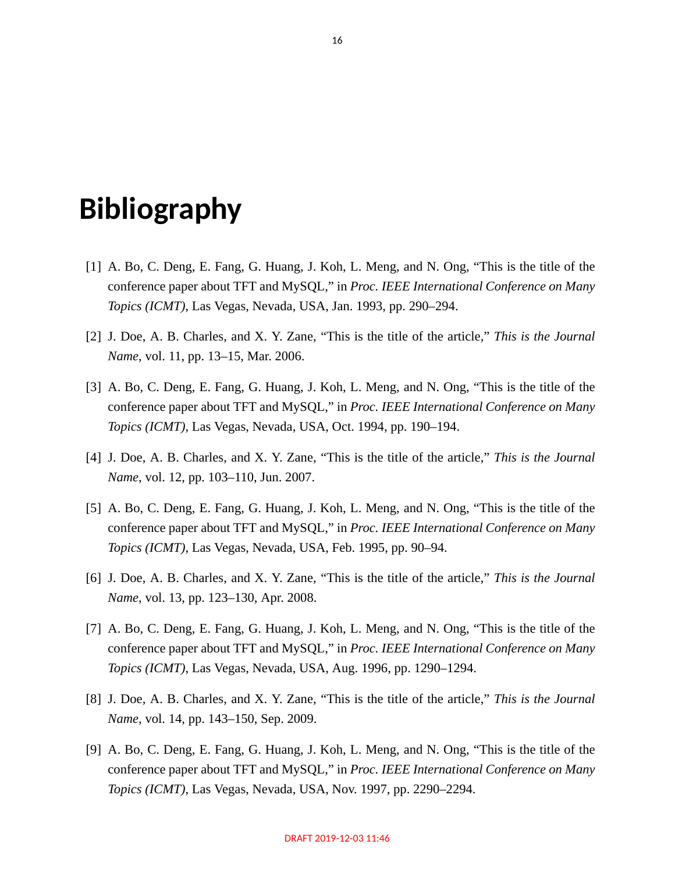# <span id="page-24-0"></span>**Bibliography**

- <span id="page-24-1"></span>[1] A. Bo, C. Deng, E. Fang, G. Huang, J. Koh, L. Meng, and N. Ong, "This is the title of the conference paper about TFT and MySQL," in *Proc. IEEE International Conference on Many Topics (ICMT)*, Las Vegas, Nevada, USA, Jan. 1993, pp. 290–294.
- [2] J. Doe, A. B. Charles, and X. Y. Zane, "This is the title of the article," *This is the Journal Name*, vol. 11, pp. 13–15, Mar. 2006.
- [3] A. Bo, C. Deng, E. Fang, G. Huang, J. Koh, L. Meng, and N. Ong, "This is the title of the conference paper about TFT and MySQL," in *Proc. IEEE International Conference on Many Topics (ICMT)*, Las Vegas, Nevada, USA, Oct. 1994, pp. 190–194.
- [4] J. Doe, A. B. Charles, and X. Y. Zane, "This is the title of the article," *This is the Journal Name*, vol. 12, pp. 103–110, Jun. 2007.
- <span id="page-24-2"></span>[5] A. Bo, C. Deng, E. Fang, G. Huang, J. Koh, L. Meng, and N. Ong, "This is the title of the conference paper about TFT and MySQL," in *Proc. IEEE International Conference on Many Topics (ICMT)*, Las Vegas, Nevada, USA, Feb. 1995, pp. 90–94.
- [6] J. Doe, A. B. Charles, and X. Y. Zane, "This is the title of the article," *This is the Journal Name*, vol. 13, pp. 123–130, Apr. 2008.
- [7] A. Bo, C. Deng, E. Fang, G. Huang, J. Koh, L. Meng, and N. Ong, "This is the title of the conference paper about TFT and MySQL," in *Proc. IEEE International Conference on Many Topics (ICMT)*, Las Vegas, Nevada, USA, Aug. 1996, pp. 1290–1294.
- [8] J. Doe, A. B. Charles, and X. Y. Zane, "This is the title of the article," *This is the Journal Name*, vol. 14, pp. 143–150, Sep. 2009.
- [9] A. Bo, C. Deng, E. Fang, G. Huang, J. Koh, L. Meng, and N. Ong, "This is the title of the conference paper about TFT and MySQL," in *Proc. IEEE International Conference on Many Topics (ICMT)*, Las Vegas, Nevada, USA, Nov. 1997, pp. 2290–2294.